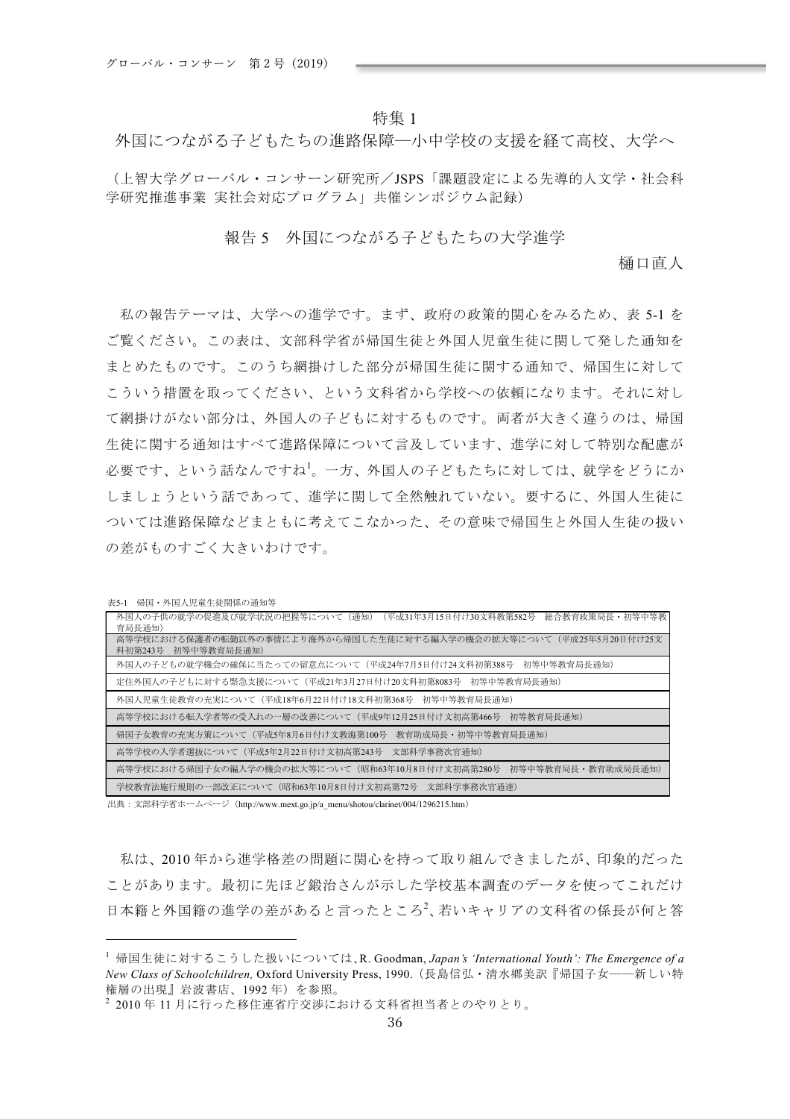## 特集 1

外国につながる子どもたちの進路保障一小中学校の支援を経て高校、大学へ

(上智大学グローバル·コンサーン研究所/JSPS「課題設定による先導的人文学·社会科 学研究推進事業 実社会対応プログラム」共催シンポジウム記録)

## 報告5 外国につながる子どもたちの大学進学

桶口直人

私の報告テーマは、大学への進学です。まず、政府の政策的関心をみるため、表 5-1 を ご覧ください。この表は、文部科学省が帰国生徒と外国人児童生徒に関して発した通知を まとめたものです。このうち網掛けした部分が帰国生徒に関する通知で、帰国生に対して こういう措置を取ってください、という文科省から学校への依頼になります。それに対し て網掛けがない部分は、外国人の子どもに対するものです。両者が大きく違うのは、帰国 生徒に関する通知はすべて進路保障について言及しています、進学に対して特別な配慮が 必要です、という話なんですね<sup>1</sup>。一方、外国人の子どもたちに対しては、就学をどうにか しましょうという話であって、進学に関して全然触れていない。要するに、外国人生徒に ついては進路保障などまともに考えてこなかった、その意味で帰国生と外国人生徒の扱い の差がものすごく大きいわけです。

| 外国人の子供の就学の促進及び就学状況の把握等について(通知)(平成31年3月15日付け30文科教第582号 総合教育政策局長・初等中等教<br>育局長通知)            |
|-------------------------------------------------------------------------------------------|
| 高等学校における保護者の転勤以外の事情により海外から帰国した生徒に対する編入学の機会の拡大等について(平成25年5月20日付け25文<br>科初第243号 初等中等教育局長诵知) |
| 外国人の子どもの就学機会の確保に当たっての留意点について(平成24年7月5日付け24文科初第388号―初等中等教育局長通知)                            |
| 定住外国人の子どもに対する緊急支援について(平成21年3月27日付け20文科初第8083号 初等中等教育局長通知)                                 |
| 外国人児童生徒教育の充実について(平成18年6月22日付け18文科初第368号 初等中等教育局長通知)                                       |
| 高等学校における転入学者等の受入れの一層の改善について(平成9年12月25日付け文初高第466号 初等教育局長通知)                                |
| 帰国子女教育の充実方策について(平成5年8月6日付け文教海第100号 教育助成局長・初等中等教育局長通知)                                     |
| 高等学校の入学者選抜について(平成5年2月22日付け文初高第243号 文部科学事務次官通知)                                            |
| 高等学校における帰国子女の編入学の機会の拡大等について (昭和63年10月8日付け文初高第280号 初等中等教育局長・教育助成局長通知)                      |
| 学校教育法施行規則の一部改正について(昭和63年10月8日付け文初高第72号―文部科学事務次官通達)                                        |

出典: 文部科学省ホームページ (http://www.mext.go.jp/a\_menu/shotou/clarinet/004/1296215.htm)

私は、2010年から進学格差の問題に関心を持って取り組んできましたが、印象的だった ことがあります。最初に先ほど鍛治さんが示した学校基本調査のデータを使ってこれだけ 日本籍と外国籍の進学の差があると言ったところ<sup>2</sup>、若いキャリアの文科省の係長が何と答

表5-1 帰国・外国人児童生徒関係の通知等

<sup>&</sup>lt;sup>1</sup> 帰国生徒に対するこうした扱いについては、R.Goodman,*Japan's 'International Youth': The Emergence of a New Class of Schoolchildren*, Oxford University Press, 1990. (長島信弘·清水鄉美訳『帰国子女——新しい特 権層の出現』岩波書店、1992年)を参照。

 $2$  2010年11月に行った移住連省庁交渉における文科省担当者とのやりとり。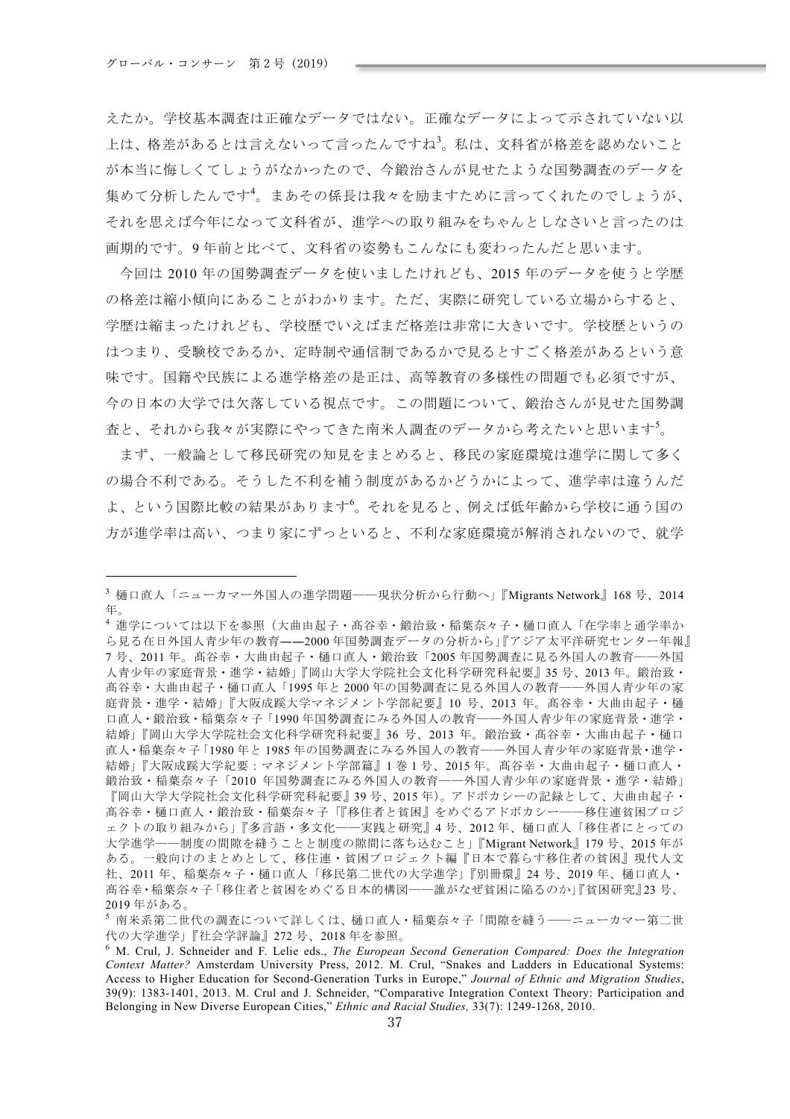えたか。学校基本調査は正確なデータではない。正確なデータによって示されていない以 上は、格差があるとは言えないって言ったんですね<sup>3</sup>。私は、文科省が格差を認めないこと が本当に悔しくてしょうがなかったので、今鍛治さんが見せたような国勢調査のデータを 集めて分析したんです<sup>4</sup>。まあその係長は我々を励ますために言ってくれたのでしょうが、 それを思えば今年になって文科省が、進学への取り組みをちゃんとしなさいと言ったのは 画期的です。9年前と比べて、文科省の姿勢もこんなにも変わったんだと思います。

今回は 2010年の国勢調査データを使いましたけれども、2015年のデータを使うと学歴 の格差は縮小傾向にあることがわかります。ただ、実際に研究している立場からすると、 学歴は縮まったけれども、学校歴でいえばまだ格差は非常に大きいです。学校歴というの はつまり、受験校であるか、定時制や通信制であるかで見るとすごく格差があるという意 味です。国籍や民族による進学格差の是正は、高等教育の多様性の問題でも必須ですが、 今の日本の大学では欠落している視点です。この問題について、鍛治さんが見せた国勢調 査と、それから我々が実際にやってきた南米人調査のデータから考えたいと思います<sup>5</sup>。

まず、一般論として移民研究の知見をまとめると、移民の家庭環境は進学に関して多く の場合不利である。そうした不利を補う制度があるかどうかによって、進学率は違うんだ よ、という国際比較の結果があります<sup>6</sup>。それを見ると、例えば低年齢から学校に通う国の 方が進学率は高い、つまり家にずっといると、不利な家庭環境が解消されないので、就学

<sup>&</sup>lt;sup>3</sup> 桶口直人「ニューカマー外国人の進学問題––現状分析から行動へ」『Migrants Network』168号、2014 ʑ&

 $^4$ 進学については以下を参照(大曲由起子・髙谷幸・鍛治致・稲葉奈々子・樋口直人「在学率と通学率か ら見る在日外国人青少年の教育――2000年国勢調査データの分析から」『アジア太平洋研究センター年報』 7号、2011年。髙谷幸・大曲由起子・樋口直人・鍛治致「2005年国勢調査に見る外国人の教育――外国 人青少年の家庭背景·進学·結婚」『岡山大学大学院社会文化科学研究科紀要』35号、2013年。鍛治致· 髙谷幸・大曲由起子・樋口直人「1995年と2000年の国勢調査に見る外国人の教育――外国人青少年の家 庭背景・進学・結婚」『大阪成蹊大学マネジメント学部紀要』10号、2013年。高谷幸・大曲由起子・樋 口直人·鍛治致·稲葉奈々子「1990年国勢調査にみる外国人の教育――外国人青少年の家庭背景·進学· 結婚」『岡山大学大学院社会文化科学研究科紀要』36 号、2013 年。鍛治致·髙谷幸·大曲由起子·樋口 直人・稲葉奈々子「1980年と1985年の国勢調査にみる外国人の教育――外国人青少年の家庭背景・進学・ 結婚」『大阪成蹊大学紀要:マネジメント学部篇』1巻1号、2015年。髙谷幸・大曲由起子・樋口直人・ 鍛治致・稲葉奈々子「2010 年国勢調査にみる外国人の教育――外国人青少年の家庭背景・進学・結婚」 『岡山大学大学院社会文化科学研究科紀要』39号、2015年)。アドボカシーの記録として、大曲由起子· 高谷幸・樋口直人・鍛治致・稲葉奈々子「『移住者と貧困』をめぐるアドボカシー––移住連貧困プロジ ェクトの取り組みから」『多言語・多文化――実践と研究』4号、2012年、樋口直人「移住者にとっての 大学進学––制度の間隙を縫うことと制度の隙間に落ち込むこと」『Migrant Network』179号、2015年が ある。一般向けのまとめとして、移住連・貧困プロジェクト編『日本で暮らす移住者の貧困』現代人文 社、2011年、稲葉奈々子・樋口直人「移民第二世代の大学進学」『別冊環』24号、2019年、樋口直人・ 高谷幸·稲葉奈々子「移住者と貧困をめぐる日本的構図――誰がなぜ貧困に陥るのか」『貧困研究』23号、 2019年がある。

 $^5$ 南米系第二世代の調査について詳しくは、樋口直人·稲葉奈々子「間隙を縫う–––ニューカマー第二世 代の大学進学」『社会学評論』272号、2018年を参照。

<sup>6</sup> M. Crul, J. Schneider and F. Lelie eds., *The European Second Generation Compared: Does the Integration Context Matter?* Amsterdam University Press, 2012. M. Crul, "Snakes and Ladders in Educational Systems: Access to Higher Education for Second-Generation Turks in Europe," *Journal of Ethnic and Migration Studies*, 39(9): 1383-1401, 2013. M. Crul and J. Schneider, "Comparative Integration Context Theory: Participation and Belonging in New Diverse European Cities," *Ethnic and Racial Studies,* 33(7): 1249-1268, 2010.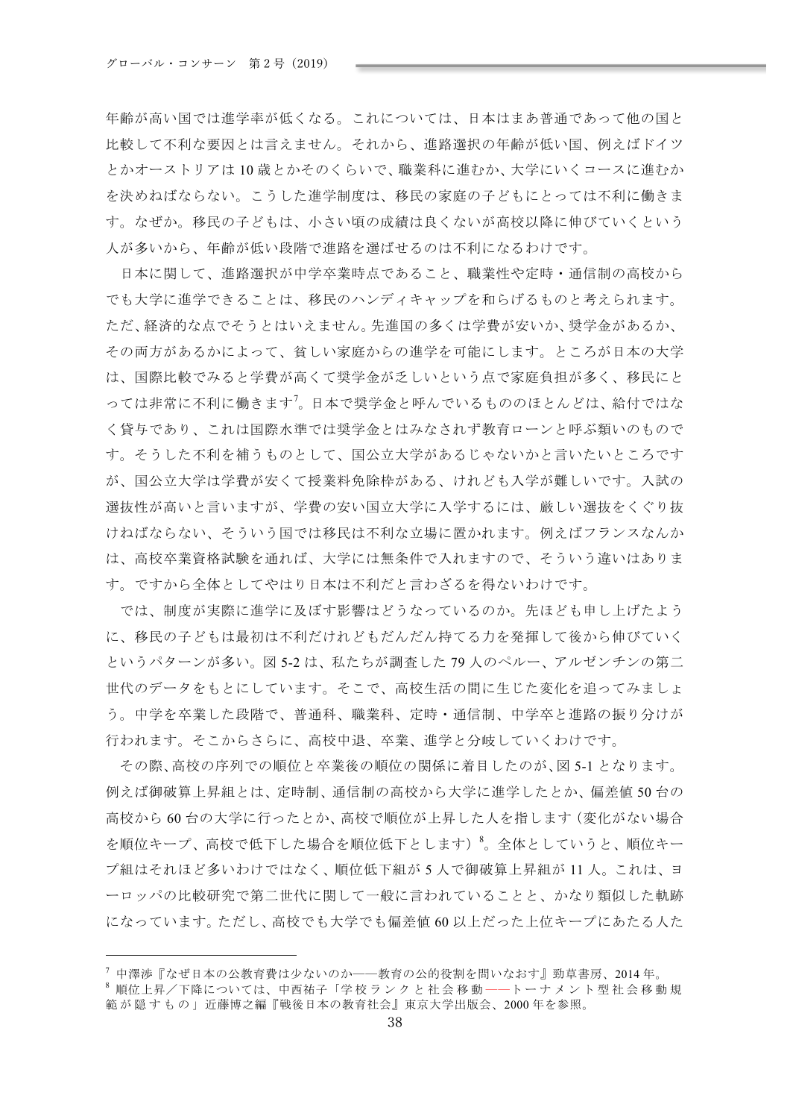年齢が高い国では進学率が低くなる。これについては、日本はまあ普通であって他の国と 比較して不利な要因とは言えません。それから、進路選択の年齢が低い国、例えばドイツ とかオーストリアは10歳とかそのくらいで、職業科に進むか、大学にいくコースに進むか を決めねばならない。こうした進学制度は、移民の家庭の子どもにとっては不利に働きま す。なぜか。移民の子どもは、小さい頃の成績は良くないが高校以降に伸びていくという 人が多いから、年齢が低い段階で進路を選ばせるのは不利になるわけです。

日本に関して、進路選択が中学卒業時点であること、職業性や定時·通信制の高校から でも大学に進学できることは、移民のハンディキャップを和らげるものと考えられます。 ただ、経済的な点でそうとはいえません。先進国の多くは学費が安いか、奨学金があるか、 その両方があるかによって、貧しい家庭からの進学を可能にします。ところが日本の大学 は、国際比較でみると学費が高くて奨学金が乏しいという点で家庭負担が多く、移民にと っては非常に不利に働きます<sup>7</sup>。日本で奨学金と呼んでいるもののほとんどは、給付ではな く貸与であり、これは国際水準では奨学金とはみなされず教育ローンと呼ぶ類いのもので す。そうした不利を補うものとして、国公立大学があるじゃないかと言いたいところです が、国公立大学は学費が安くて授業料免除枠がある、けれども入学が難しいです。入試の 選抜性が高いと言いますが、学費の安い国立大学に入学するには、厳しい選抜をくぐり抜 けねばならない、そういう国では移民は不利な立場に置かれます。例えばフランスなんか は、高校卒業資格試験を通れば、大学には無条件で入れますので、そういう違いはありま す。ですから全体としてやはり日本は不利だと言わざるを得ないわけです。

では、制度が実際に進学に及ぼす影響はどうなっているのか。先ほども申し上げたよう に、移民の子どもは最初は不利だけれどもだんだん持てる力を発揮して後から伸びていく というパターンが多い。図 5-2 は、私たちが調査した79人のペルー、アルゼンチンの第二 世代のデータをもとにしています。そこで、高校生活の間に生じた変化を追ってみましょ う。中学を卒業した段階で、普通科、職業科、定時·通信制、中学卒と進路の振り分けが 行われます。そこからさらに、高校中退、卒業、進学と分岐していくわけです。

その際、高校の序列での順位と卒業後の順位の関係に着目したのが、図5-1となります。 例えば御破算上昇組とは、定時制、通信制の高校から大学に進学したとか、偏差値50台の 高校から60台の大学に行ったとか、高校で順位が上昇した人を指します(変化がない場合 を順位キープ、高校で低下した場合を順位低下とします)<sup>8</sup>。全体としていうと、順位キー プ組はそれほど多いわけではなく、順位低下組が5人で御破算上昇組が11人。これは、ヨ ーロッパの比較研究で第二世代に関して一般に言われていることと、かなり類似した軌跡 になっています。ただし、高校でも大学でも偏差値60以上だった上位キープにあたる人た

<sup>7</sup> 中澤渉『なぜ日本の公教育費は少ないのか――教育の公的役割を問いなおす』勁草書房、2014年。

<sup>8</sup> 順位上昇/下降については、中西祐子「学校ランクと社会移動ーートーナメント型社会移動規 範が隠すもの」近藤博之編『戦後日本の教育社会』東京大学出版会、2000年を参照。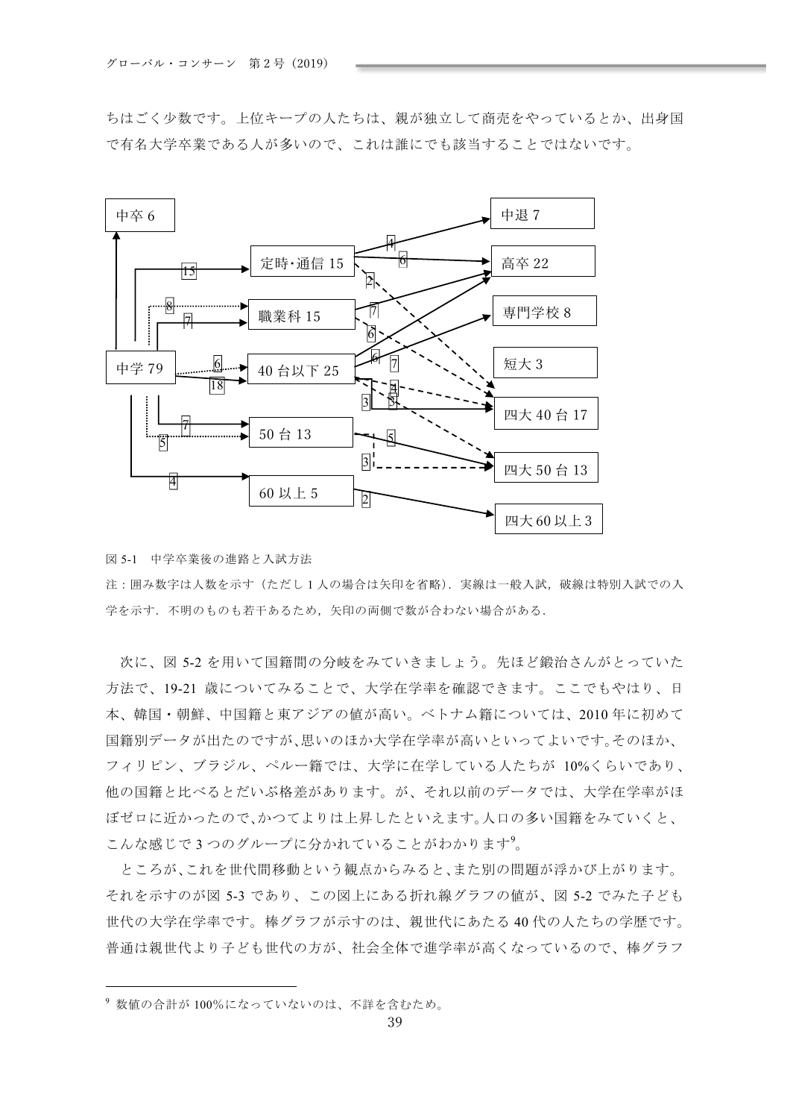ちはごく少数です。上位キープの人たちは、親が独立して商売をやっているとか、出身国 で有名大学卒業である人が多いので、これは誰にでも該当することではないです。



図 5-1 中学卒業後の進路と入試方法

注:囲み数字は人数を示す(ただし1人の場合は矢印を省略). 実線は一般入試、破線は特別入試での入 学を示す. 不明のものも若干あるため、矢印の両側で数が合わない場合がある.

次に、図 5-2 を用いて国籍間の分岐をみていきましょう。先ほど鍛治さんがとっていた 方法で、19-21 歳についてみることで、大学在学率を確認できます。ここでもやはり、日 本、韓国・朝鮮、中国籍と東アジアの値が高い。ベトナム籍については、2010年に初めて 国籍別データが出たのですが、思いのほか大学在学率が高いといってよいです。そのほか、 フィリピン、ブラジル、ペルー籍では、大学に在学している人たちが 10%くらいであり、 他の国籍と比べるとだいぶ格差があります。が、それ以前のデータでは、大学在学率がほ ぼゼロに近かったので、かつてよりは上昇したといえます。人口の多い国籍をみていくと、 こんな感じで3つのグループに分かれていることがわかります?。

ところが、これを世代間移動という観点からみると、また別の問題が浮かび上がります。 それを示すのが図 5-3 であり、この図上にある折れ線グラフの値が、図 5-2 でみた子ども 世代の大学在学率です。棒グラフが示すのは、親世代にあたる40代の人たちの学歴です。 普通は親世代より子ども世代の方が、社会全体で進学率が高くなっているので、棒グラフ

<sup>9</sup> 数値の合計が100%になっていないのは、不詳を含むため。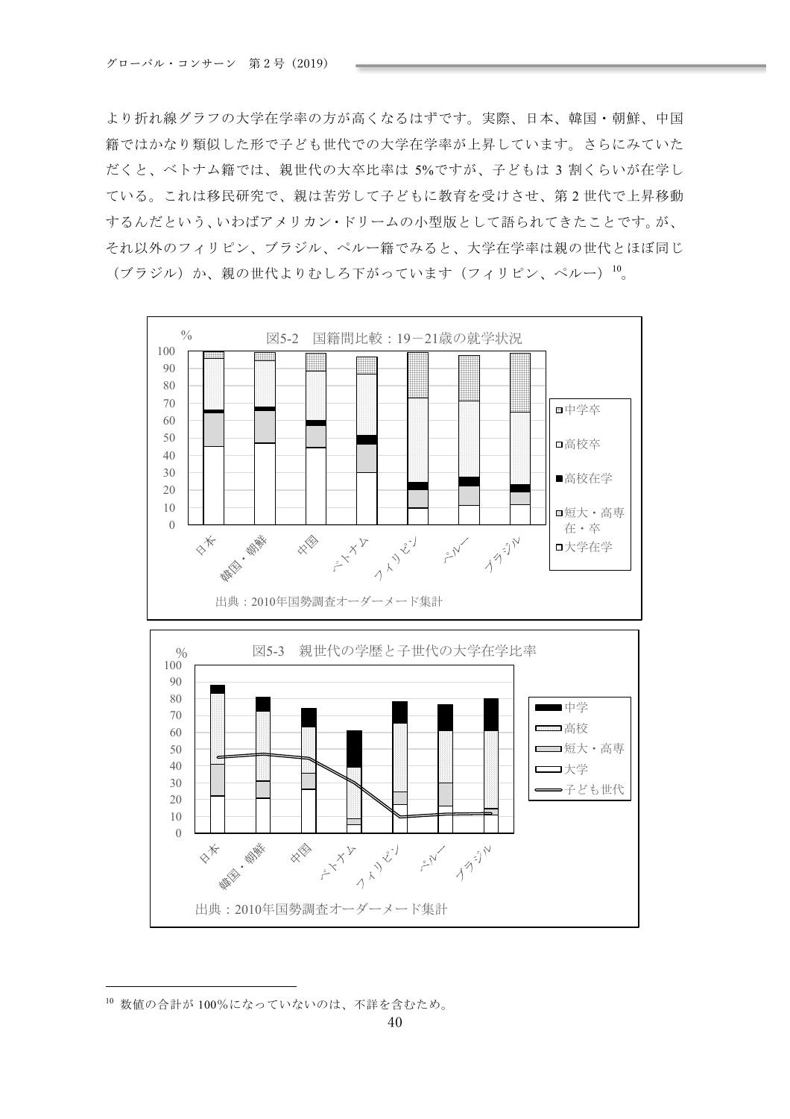より折れ線グラフの大学在学率の方が高くなるはずです。実際、日本、韓国・朝鮮、中国 籍ではかなり類似した形で子ども世代での大学在学率が上昇しています。さらにみていた だくと、ベトナム籍では、親世代の大卒比率は 5%ですが、子どもは3割くらいが在学し ている。これは移民研究で、親は苦労して子どもに教育を受けさせ、第2世代で上昇移動 するんだという、いわばアメリカン・ドリームの小型版として語られてきたことです。が、 それ以外のフィリピン、ブラジル、ペルー籍でみると、大学在学率は親の世代とほぼ同じ (ブラジル) か、親の世代よりむしろ下がっています (フィリピン、ペルー) 10。



<sup>10</sup> 数値の合計が100%になっていないのは、不詳を含むため。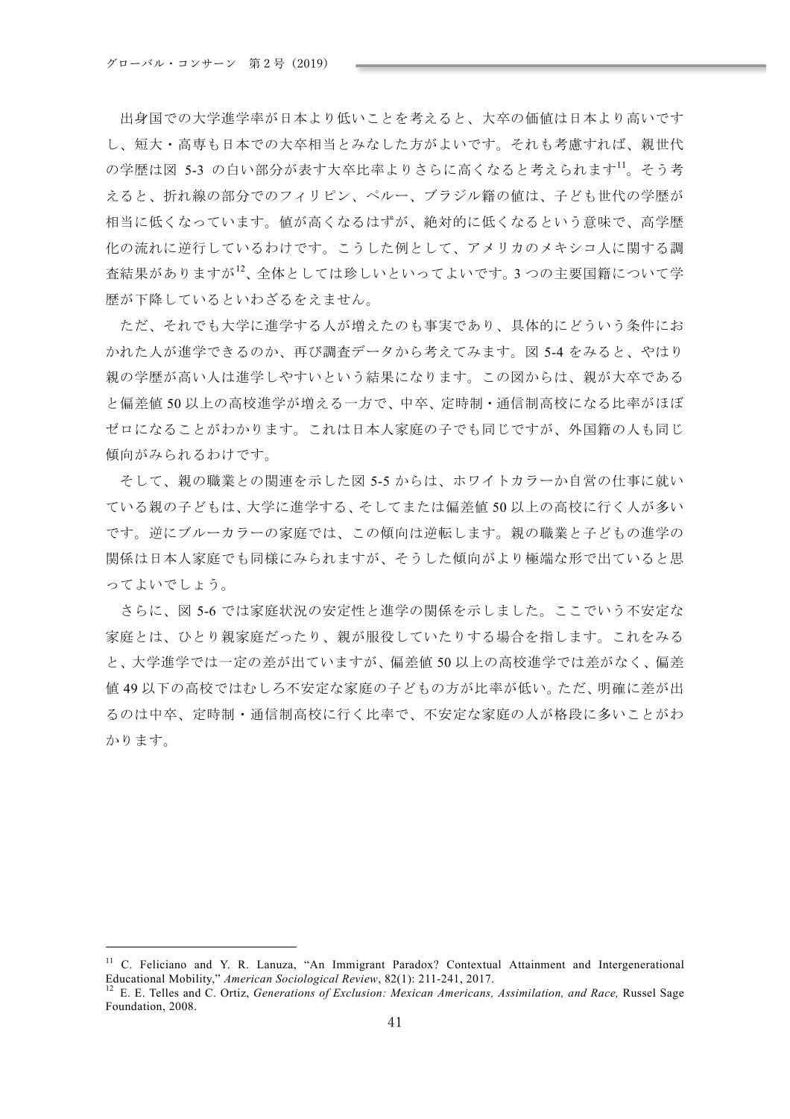出身国での大学進学率が日本より低いことを考えると、大卒の価値は日本より高いです し、短大・高専も日本での大卒相当とみなした方がよいです。それも考慮すれば、親世代 の学歴は図 5-3 の白い部分が表す大卒比率よりさらに高くなると考えられます11。そう考 えると、折れ線の部分でのフィリピン、ペルー、ブラジル籍の値は、子ども世代の学歴が 相当に低くなっています。値が高くなるはずが、絶対的に低くなるという意味で、高学歴 化の流れに逆行しているわけです。こうした例として、アメリカのメキシコ人に関する調 査結果がありますが<sup>12</sup>、全体としては珍しいといってよいです。3つの主要国籍について学 歴が下降しているといわざるをえません。

ただ、それでも大学に進学する人が増えたのも事実であり、具体的にどういう条件にお かれた人が進学できるのか、再び調査データから考えてみます。図 5-4 をみると、やはり 親の学歴が高い人は進学しやすいという結果になります。この図からは、親が大卒である と偏差値50以上の高校進学が増える一方で、中卒、定時制·通信制高校になる比率がほぼ ゼロになることがわかります。これは日本人家庭の子でも同じですが、外国籍の人も同じ 傾向がみられるわけです。

そして、親の職業との関連を示した図 5-5 からは、ホワイトカラーか自営の仕事に就い ている親の子どもは、大学に進学する、そしてまたは偏差値50以上の高校に行く人が多い です。逆にブルーカラーの家庭では、この傾向は逆転します。親の職業と子どもの進学の 関係は日本人家庭でも同様にみられますが、そうした傾向がより極端な形で出ていると思 ってよいでしょう。

さらに、図 5-6 では家庭状況の安定性と進学の関係を示しました。ここでいう不安定な 家庭とは、ひとり親家庭だったり、親が服役していたりする場合を指します。これをみる と、大学進学では一定の差が出ていますが、偏差値50以上の高校進学では差がなく、偏差 値49以下の高校ではむしろ不安定な家庭の子どもの方が比率が低い。ただ、明確に差が出 るのは中卒、定時制・通信制高校に行く比率で、不安定な家庭の人が格段に多いことがわ かります。

 $11$  C. Feliciano and Y. R. Lanuza, "An Immigrant Paradox? Contextual Attainment and Intergenerational Educational Mobility," American Sociological Review, 82(1): 211-241, 2017.

<sup>&</sup>lt;sup>12</sup> E. E. Telles and C. Ortiz, Generations of Exclusion: Mexican Americans, Assimilation, and Race, Russel Sage Foundation, 2008.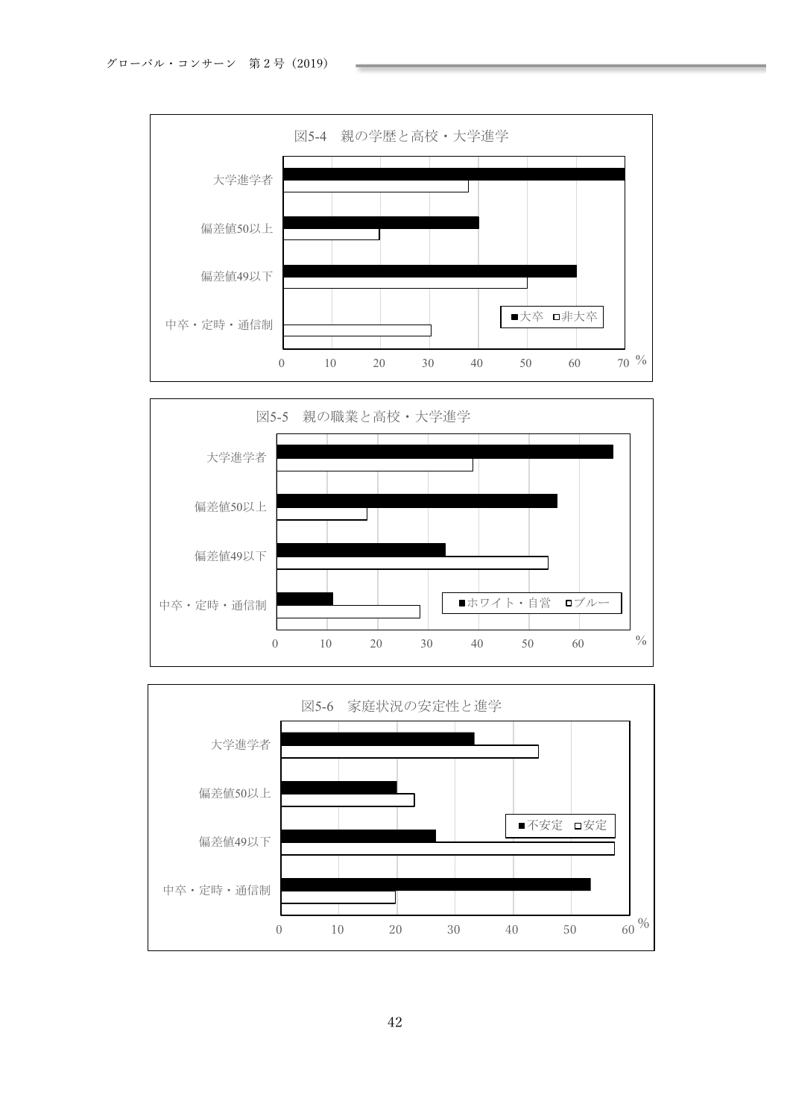





42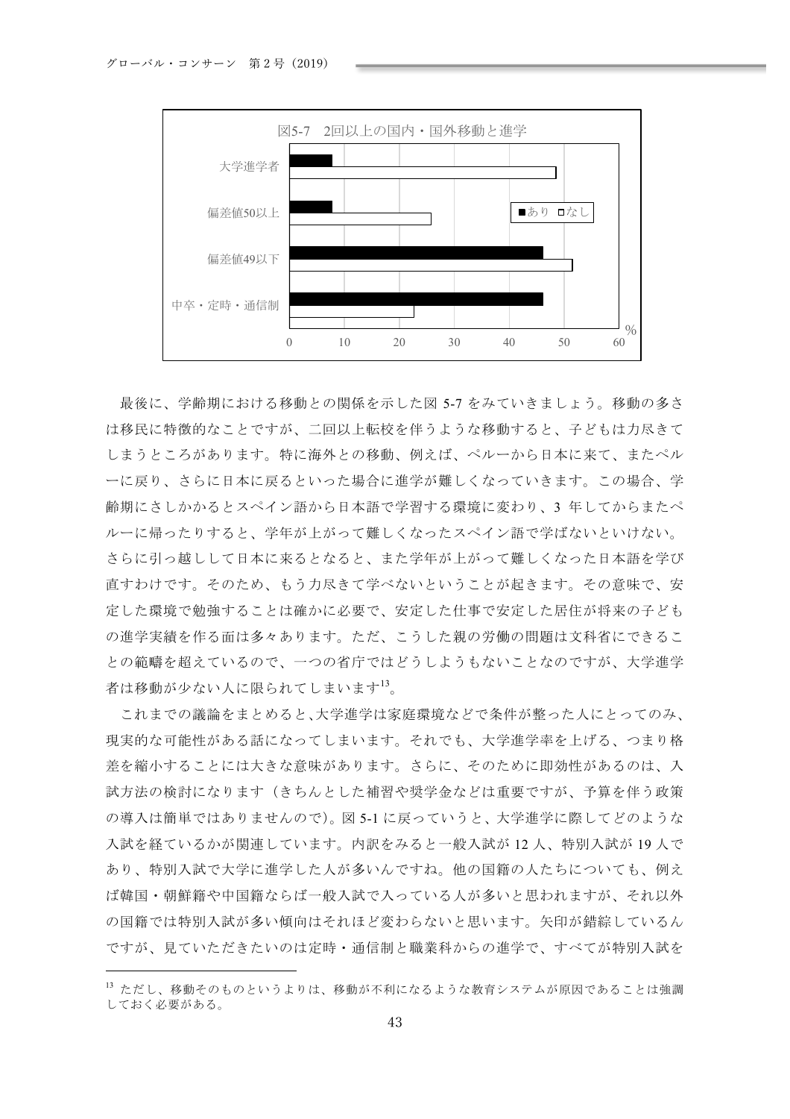

最後に、学齢期における移動との関係を示した図 5-7 をみていきましょう。移動の多さ は移民に特徴的なことですが、二回以上転校を伴うような移動すると、子どもは力尽きて しまうところがあります。特に海外との移動、例えば、ペルーから日本に来て、またペル ーに戻り、さらに日本に戻るといった場合に進学が難しくなっていきます。この場合、学 齢期にさしかかるとスペイン語から日本語で学習する環境に変わり、3年してからまたペ ルーに帰ったりすると、学年が上がって難しくなったスペイン語で学ばないといけない。 さらに引っ越しして日本に来るとなると、また学年が上がって難しくなった日本語を学び 直すわけです。そのため、もう力尽きて学べないということが起きます。その意味で、安 定した環境で勉強することは確かに必要で、安定した仕事で安定した居住が将来の子ども の進学実績を作る面は多々あります。ただ、こうした親の労働の問題は文科省にできるこ との範疇を超えているので、一つの省庁ではどうしようもないことなのですが、大学進学 者は移動が少ない人に限られてしまいます<sup>13</sup>。

これまでの議論をまとめると、大学進学は家庭環境などで条件が整った人にとってのみ、 現実的な可能性がある話になってしまいます。それでも、大学進学率を上げる、つまり格 差を縮小することには大きな意味があります。さらに、そのために即効性があるのは、入 試方法の検討になります(きちんとした補習や奨学金などは重要ですが、予算を伴う政策 の導入は簡単ではありませんので)。図 5-1 に戻っていうと、大学進学に際してどのような 入試を経ているかが関連しています。内訳をみると一般入試が12人、特別入試が19人で あり、特別入試で大学に進学した人が多いんですね。他の国籍の人たちについても、例え ば韓国・朝鮮籍や中国籍ならば一般入試で入っている人が多いと思われますが、それ以外 の国籍では特別入試が多い傾向はそれほど変わらないと思います。矢印が錯綜しているん ですが、見ていただきたいのは定時・通信制と職業科からの進学で、すべてが特別入試を

<sup>13</sup> ただし、移動そのものというよりは、移動が不利になるような教育システムが原因であることは強調 しておく必要がある。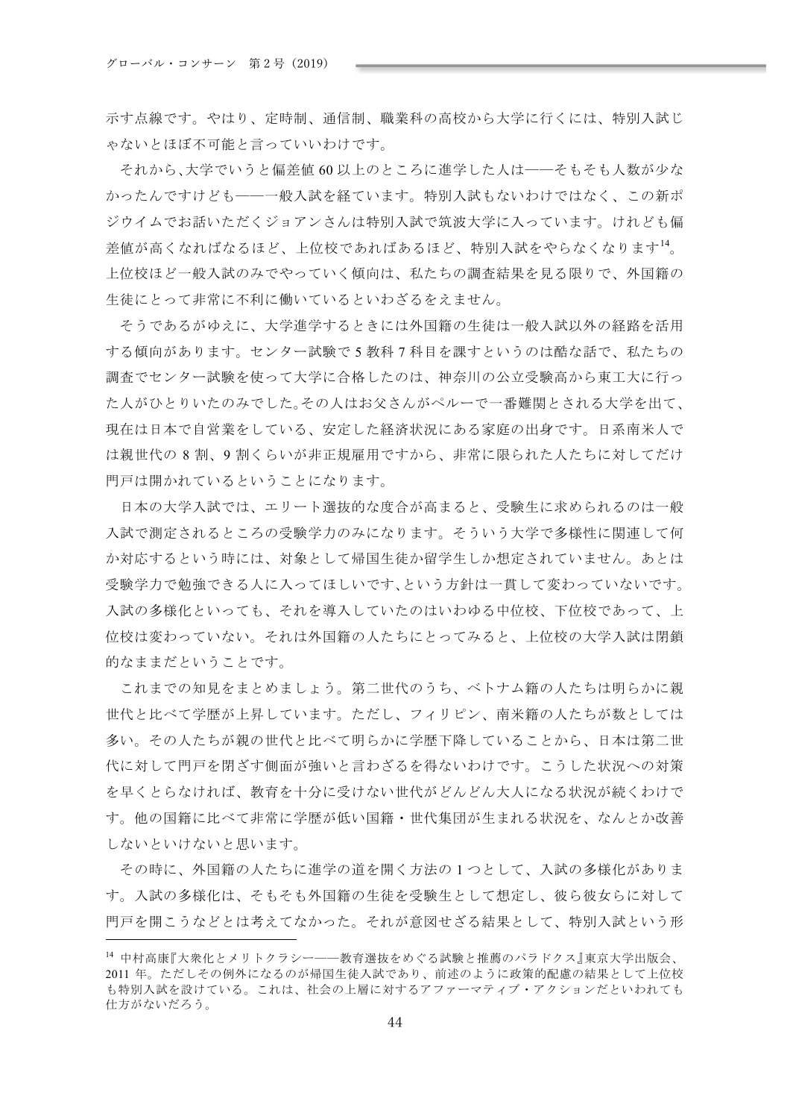示す点線です。やはり、定時制、通信制、職業科の高校から大学に行くには、特別入試じ ゃないとほぼ不可能と言っていいわけです。

それから、大学でいうと偏差値60以上のところに進学した人は一一そもそも人数が少な かったんですけども――一般入試を経ています。特別入試もないわけではなく、この新ポ ジウイムでお話いただくジョアンさんは特別入試で筑波大学に入っています。けれども偏 差値が高くなればなるほど、上位校であればあるほど、特別入試をやらなくなります<sup>14</sup>。 上位校ほど一般入試のみでやっていく傾向は、私たちの調査結果を見る限りで、外国籍の 生徒にとって非常に不利に働いているといわざるをえません。

そうであるがゆえに、大学進学するときには外国籍の生徒は一般入試以外の経路を活用 する傾向があります。センター試験で5教科7科目を課すというのは酷な話で、私たちの 調査でセンター試験を使って大学に合格したのは、神奈川の公立受験高から東工大に行っ た人がひとりいたのみでした。その人はお父さんがペルーで一番難関とされる大学を出て、 現在は日本で自営業をしている、安定した経済状況にある家庭の出身です。日系南米人で は親世代の8割、9割くらいが非正規雇用ですから、非常に限られた人たちに対してだけ 門戸は開かれているということになります。

日本の大学入試では、エリート選抜的な度合が高まると、受験生に求められるのは一般 入試で測定されるところの受験学力のみになります。そういう大学で多様性に関連して何 か対応するという時には、対象として帰国生徒か留学生しか想定されていません。あとは 受験学力で勉強できる人に入ってほしいです、という方針は一貫して変わっていないです。 入試の多様化といっても、それを導入していたのはいわゆる中位校、下位校であって、上 位校は変わっていない。それは外国籍の人たちにとってみると、上位校の大学入試は閉鎖 的なままだということです。

これまでの知見をまとめましょう。第二世代のうち、ベトナム籍の人たちは明らかに親 世代と比べて学歴が上昇しています。ただし、フィリピン、南米籍の人たちが数としては 多い。その人たちが親の世代と比べて明らかに学歴下降していることから、日本は第二世 代に対して門戸を閉ざす側面が強いと言わざるを得ないわけです。こうした状況への対策 を早くとらなければ、教育を十分に受けない世代がどんどん大人になる状況が続くわけで す。他の国籍に比べて非常に学歴が低い国籍・世代集団が生まれる状況を、なんとか改善 しないといけないと思います。

その時に、外国籍の人たちに進学の道を開く方法の1つとして、入試の多様化がありま す。入試の多様化は、そもそも外国籍の生徒を受験生として想定し、彼ら彼女らに対して 門戸を開こうなどとは考えてなかった。それが意図せざる結果として、特別入試という形

<sup>14</sup> 中村高康『大衆化とメリトクラシー──教育選抜をめぐる試験と推薦のパラドクス』東京大学出版会、 2011年。ただしその例外になるのが帰国生徒入試であり、前述のように政策的配慮の結果として上位校 も特別入試を設けている。これは、社会の上層に対するアファーマティブ・アクションだといわれても 仕方がないだろう。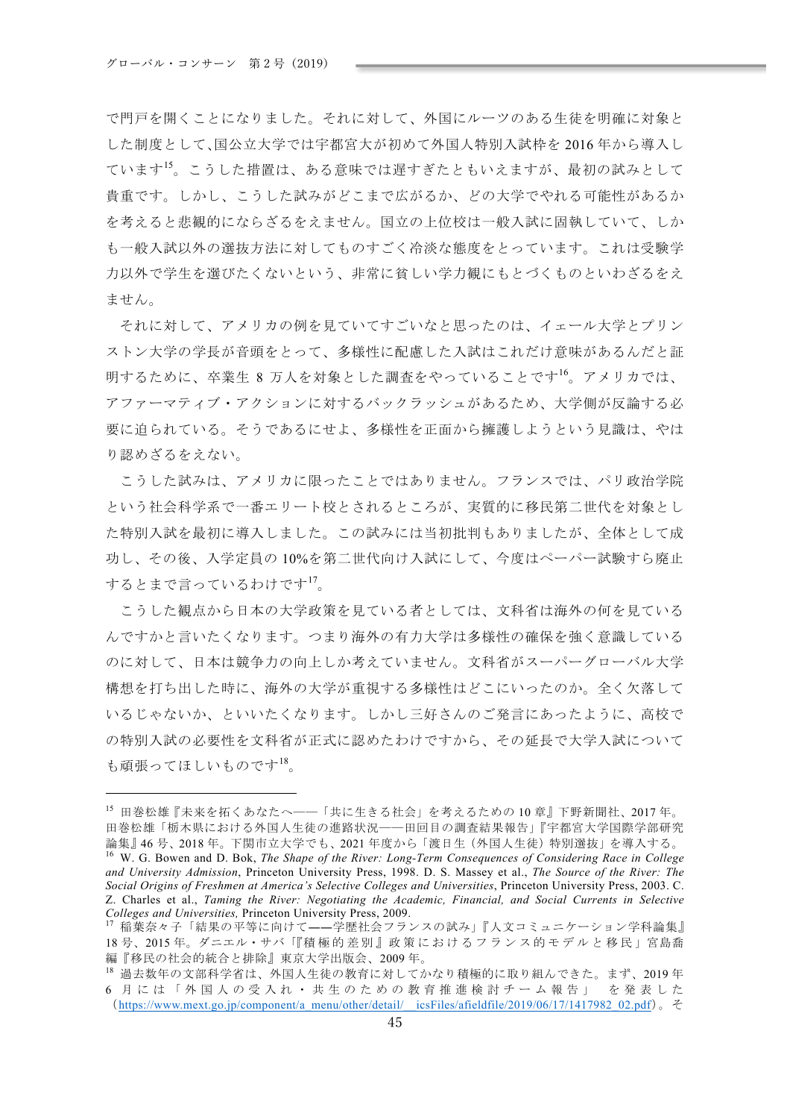で門戸を開くことになりました。それに対して、外国にルーツのある生徒を明確に対象と した制度として、国公立大学では宇都宮大が初めて外国人特別入試枠を2016年から導入し ています<sup>15</sup>。こうした措置は、ある意味では遅すぎたともいえますが、最初の試みとして 貴重です。しかし、こうした試みがどこまで広がるか、どの大学でやれる可能性があるか を考えると悲観的にならざるをえません。国立の上位校は一般入試に固執していて、しか も一般入試以外の選抜方法に対してものすごく冷淡な態度をとっています。これは受験学 力以外で学生を選びたくないという、非常に貧しい学力観にもとづくものといわざるをえ ません。

それに対して、アメリカの例を見ていてすごいなと思ったのは、イェール大学とプリン ストン大学の学長が音頭をとって、多様性に配慮した入試はこれだけ意味があるんだと証 明するために、卒業生 8 万人を対象とした調査をやっていることです<sup>16</sup>。アメリカでは、 アファーマティブ・アクションに対するバックラッシュがあるため、大学側が反論する必 要に迫られている。そうであるにせよ、多様性を正面から擁護しようという見識は、やは り認めざるをえない。

こうした試みは、アメリカに限ったことではありません。フランスでは、パリ政治学院 という社会科学系で一番エリート校とされるところが、実質的に移民第二世代を対象とし た特別入試を最初に導入しました。この試みには当初批判もありましたが、全体として成 功し、その後、入学定員の10%を第二世代向け入試にして、今度はペーパー試験すら廃止 するとまで言っているわけです<sup>17</sup>。

こうした観点から日本の大学政策を見ている者としては、文科省は海外の何を見ている んですかと言いたくなります。つまり海外の有力大学は多様性の確保を強く意識している のに対して、日本は競争力の向上しか考えていません。文科省がスーパーグローバル大学 構想を打ち出した時に、海外の大学が重視する多様性はどこにいったのか。全く欠落して いるじゃないか、といいたくなります。しかし三好さんのご発言にあったように、高校で の特別入試の必要性を文科省が正式に認めたわけですから、その延長で大学入試について も頑張ってほしいものです<sup>18</sup>。

<sup>15</sup> 田巻松雄『未来を拓くあなたへ――「共に生きる社会」を考えるための 10 章』下野新聞社、2017年。 田巻松雄「栃木県における外国人生徒の進路状況―一田回目の調査結果報告」『宇都宮大学国際学部研究 論集』46号、2018年。下関市立大学でも、2021年度から「渡日生(外国人生徒)特別選抜」を導入する。 <sup>16</sup> W. G. Bowen and D. Bok, *The Shape of the River: Long-Term Consequences of Considering Race in College and University Admission*, Princeton University Press, 1998. D. S. Massey et al., *The Source of the River: The Social Origins of Freshmen at America's Selective Colleges and Universities*, Princeton University Press, 2003. C. Z. Charles et al., *Taming the River: Negotiating the Academic, Financial, and Social Currents in Selective Colleges and Universities,* Princeton University Press, 2009.

<sup>17</sup> 稲葉奈々子「結果の平等に向けて――学歴社会フランスの試み」『人文コミュニケーション学科論集』 18号、2015年。ダニエル·サバ「『積極的差別』政策におけるフランス的モデルと移民」宮島喬 編『移民の社会的統合と排除』東京大学出版会、2009年。

<sup>18</sup> 過去数年の文部科学省は、外国人生徒の教育に対してかなり積極的に取り組んできた。まず、2019年 6 月には「外国人の受入れ·共生のための教育推進検討チーム報告」を発表した  $(\text{https://www.mext.gov.jp/component/a" menu/other/detail/}icsFiles/afieldfile/2019/06/17/141798202.pdf$ &Ittps://www.mext.go.jp/component/a\_menu/other/detail/\_icsFiles/afieldfile/2019/06/17/141798202.pdf)